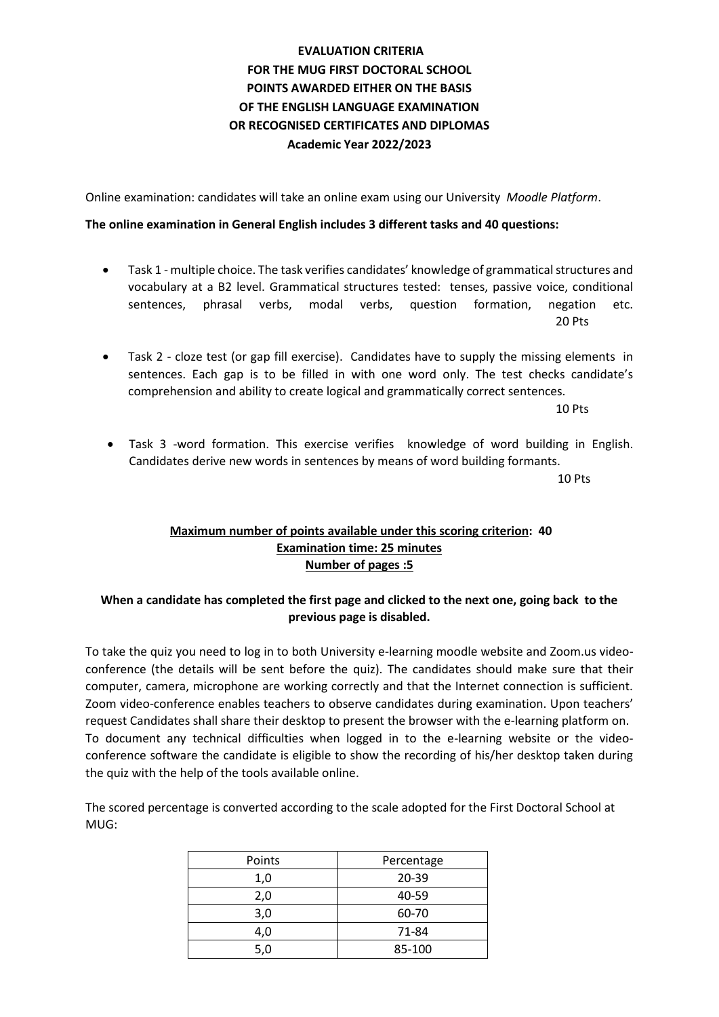## **EVALUATION CRITERIA FOR THE MUG FIRST DOCTORAL SCHOOL POINTS AWARDED EITHER ON THE BASIS OF THE ENGLISH LANGUAGE EXAMINATION OR RECOGNISED CERTIFICATES AND DIPLOMAS Academic Year 2022/2023**

Online examination: candidates will take an online exam using our University *Moodle Platform*.

## **The online examination in General English includes 3 different tasks and 40 questions:**

- Task 1 multiple choice. The task verifies candidates' knowledge of grammatical structures and vocabulary at a B2 level. Grammatical structures tested: tenses, passive voice, conditional sentences, phrasal verbs, modal verbs, question formation, negation etc. 20 Pts
- Task 2 cloze test (or gap fill exercise). Candidates have to supply the missing elements in sentences. Each gap is to be filled in with one word only. The test checks candidate's comprehension and ability to create logical and grammatically correct sentences.

10 Pts

• Task 3 -word formation. This exercise verifies knowledge of word building in English. Candidates derive new words in sentences by means of word building formants.

10 Pts

## **Maximum number of points available under this scoring criterion: 40 Examination time: 25 minutes Number of pages :5**

## **When a candidate has completed the first page and clicked to the next one, going back to the previous page is disabled.**

To take the quiz you need to log in to both University e-learning moodle website and Zoom.us videoconference (the details will be sent before the quiz). The candidates should make sure that their computer, camera, microphone are working correctly and that the Internet connection is sufficient. Zoom video-conference enables teachers to observe candidates during examination. Upon teachers' request Candidates shall share their desktop to present the browser with the e-learning platform on. To document any technical difficulties when logged in to the e-learning website or the videoconference software the candidate is eligible to show the recording of his/her desktop taken during the quiz with the help of the tools available online.

The scored percentage is converted according to the scale adopted for the First Doctoral School at MUG:

| Points | Percentage |
|--------|------------|
| 1,0    | 20-39      |
| 2,0    | 40-59      |
| 3,0    | 60-70      |
| 4,0    | 71-84      |
| 5,0    | 85-100     |